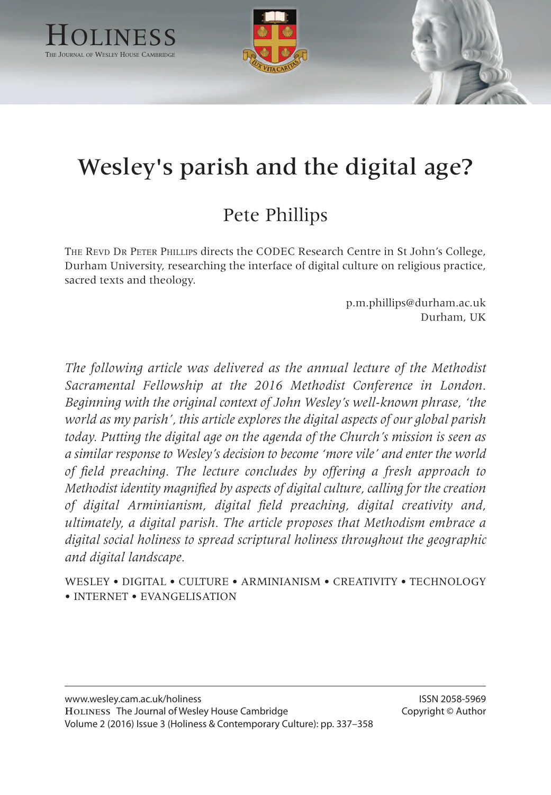

# Wesley's parish and the digital age?

# Pete Phillips

THE REVD DR PETER PHILLIPS directs the CODEC Research Centre in St John's College, Durham University, researching the interface of digital culture on religious practice, sacred texts and theology.

> p.m.phillips@durham.ac.uk Durham, UK

*The following article was delivered as the annual lecture of the Methodist Sacramental Fellowship at the 2016 Methodist Conference in London. Beginning with the original context of John Wesley's well-known phrase, 'the world as my parish', this article explores the digital aspects of our global parish today. Putting the digital age on the agenda of the Church's mission is seen as a similar response to Wesley's decision to become 'more vile' and enter the world of field preaching. The lecture concludes by offering a fresh approach to Methodist identity magnified by aspects of digital culture, calling for the creation of digital Arminianism, digital field preaching, digital creativity and, ultimately, a digital parish. The article proposes that Methodism embrace a digital social holiness to spread scriptural holiness throughout the geographic and digital landscape.*

WESLEY • DIGITAL • CULTURE • ARMINIANISM • CREATIVITY • TECHNOLOGY • INTERNET • EVANGELISATION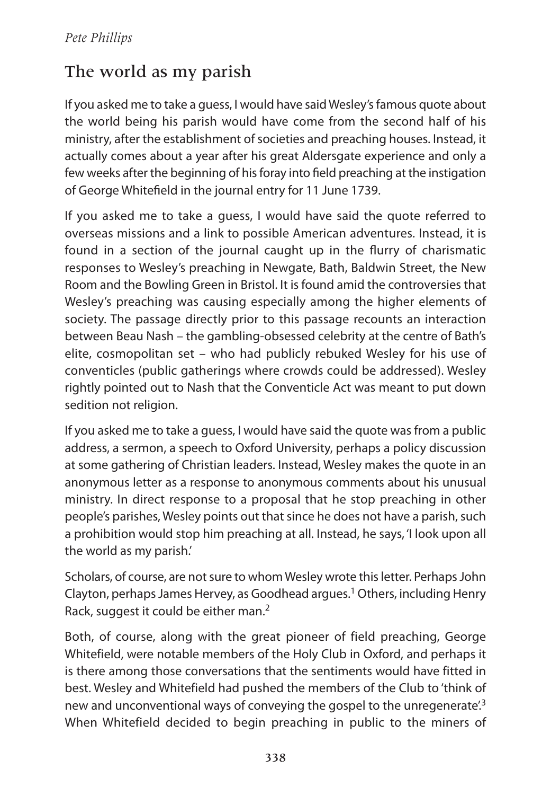# The world as my parish

If you asked me to take a quess, I would have said Wesley's famous quote about the world being his parish would have come from the second half of his ministry, after the establishment of societies and preaching houses. Instead, it actually comes about a year after his great aldersgate experience and only a few weeks after the beginning of his foray into field preaching at the instigation of George Whitefield in the journal entry for 11 June 1739.

If you asked me to take a guess, I would have said the quote referred to overseas missions and a link to possible American adventures. Instead, it is found in a section of the journal caught up in the flurry of charismatic responses to Wesley's preaching in Newgate, Bath, Baldwin Street, the New Room and the Bowling Green in Bristol. It is found amid the controversies that Wesley's preaching was causing especially among the higher elements of society. The passage directly prior to this passage recounts an interaction between Beau Nash – the gambling-obsessed celebrity at the centre of Bath's elite, cosmopolitan set – who had publicly rebuked Wesley for his use of conventicles (public gatherings where crowds could be addressed). Wesley rightly pointed out to Nash that the Conventicle act was meant to put down sedition not religion.

If you asked me to take a quess, I would have said the quote was from a public address, a sermon, a speech to Oxford University, perhaps a policy discussion at some gathering of Christian leaders. Instead, Wesley makes the quote in an anonymous letter as a response to anonymous comments about his unusual ministry. In direct response to a proposal that he stop preaching in other people's parishes, Wesley points out that since he does not have a parish, such a prohibition would stop him preaching at all. Instead, he says, 'I look upon all the world as my parish.'

Scholars, of course, are not sure to whom Wesley wrote this letter. Perhaps John Clayton, perhaps James Hervey, as Goodhead argues.<sup>1</sup> Others, including Henry Rack, suggest it could be either man.<sup>2</sup>

Both, of course, along with the great pioneer of field preaching, George Whitefield, were notable members of the Holy Club in Oxford, and perhaps it is there among those conversations that the sentiments would have fitted in best. Wesley and Whitefield had pushed the members of the Club to 'think of new and unconventional ways of conveying the gospel to the unregenerate<sup>'3</sup> When Whitefield decided to begin preaching in public to the miners of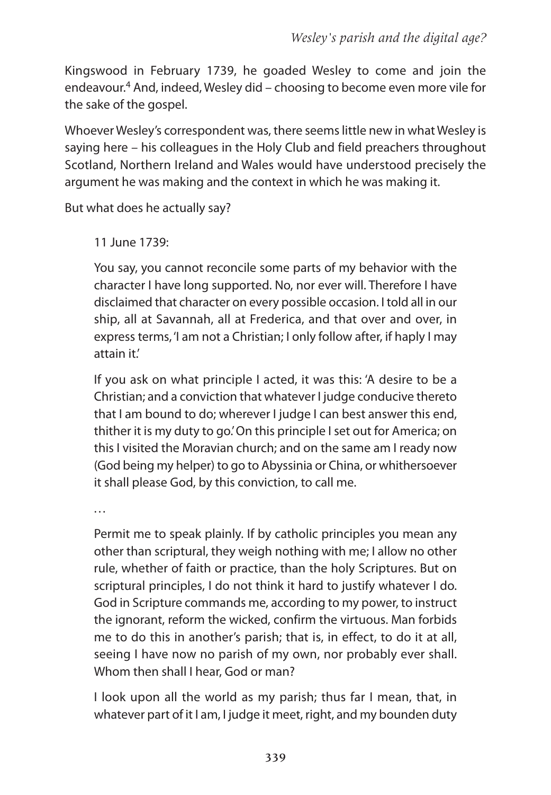Kingswood in February 1739, he goaded Wesley to come and join the endeavour.<sup>4</sup> And, indeed, Wesley did – choosing to become even more vile for the sake of the gospel.

Whoever Wesley's correspondent was, there seemslittle new in what Wesley is saying here – his colleagues in the Holy Club and field preachers throughout Scotland, Northern Ireland and Wales would have understood precisely the argument he was making and the context in which he was making it.

But what does he actually say?

11 June 1739:

You say, you cannot reconcile some parts of my behavior with the character I have long supported. No, nor ever will. Therefore I have disclaimed that character on every possible occasion. I told all in our ship, all at Savannah, all at Frederica, and that over and over, in express terms, 'I am not a Christian; I only follow after, if haply I may attain it.'

If you ask on what principle I acted, it was this: 'A desire to be a Christian; and a conviction that whatever I judge conducive thereto that I am bound to do; wherever I judge I can best answer this end, thither it is my duty to go.' On this principle I set out for America; on this I visited the Moravian church; and on the same am I ready now (God being my helper) to go to Abyssinia or China, or whithersoever it shall please God, by this conviction, to call me.

. . .

Permit me to speak plainly. If by catholic principles you mean any other than scriptural, they weigh nothing with me; I allow no other rule, whether of faith or practice, than the holy Scriptures. But on scriptural principles, I do not think it hard to justify whatever I do. God in Scripture commands me, according to my power, to instruct the ignorant, reform the wicked, confirm the virtuous. Man forbids me to do this in another's parish; that is, in effect, to do it at all, seeing I have now no parish of my own, nor probably ever shall. Whom then shall I hear, God or man?

I look upon all the world as my parish; thus far I mean, that, in whatever part of it I am, I judge it meet, right, and my bounden duty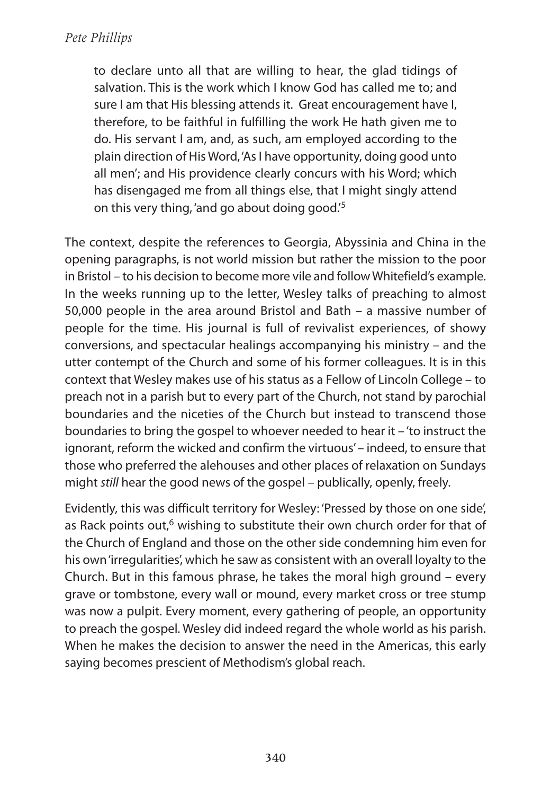to declare unto all that are willing to hear, the glad tidings of salvation. This is the work which I know God has called me to; and sure I am that His blessing attends it. Great encouragement have I, therefore, to be faithful in fulfilling the work He hath given me to do. His servant I am, and, as such, am employed according to the plain direction of His Word, 'As I have opportunity, doing good unto all men'; and His providence clearly concurs with his Word; which has disengaged me from all things else, that I might singly attend on this very thing, 'and go about doing good.' 5

The context, despite the references to Georgia, abyssinia and China in the opening paragraphs, is not world mission but rather the mission to the poor in Bristol – to his decision to become more vile and followWhitefield's example. In the weeks running up to the letter, Wesley talks of preaching to almost 50,000 people in the area around Bristol and Bath – a massive number of people for the time. His journal is full of revivalist experiences, of showy conversions, and spectacular healings accompanying his ministry – and the utter contempt of the Church and some of his former colleagues. It is in this context that Wesley makes use of his status as a Fellow of Lincoln College – to preach not in a parish but to every part of the Church, not stand by parochial boundaries and the niceties of the Church but instead to transcend those boundaries to bring the gospel to whoever needed to hear it – 'to instruct the ignorant, reform the wicked and confirm the virtuous'– indeed, to ensure that those who preferred the alehouses and other places of relaxation on Sundays might still hear the good news of the gospel – publically, openly, freely.

Evidently, this was difficult territory for Wesley: 'Pressed by those on one side', as Rack points out,<sup>6</sup> wishing to substitute their own church order for that of the Church of England and those on the other side condemning him even for his own'irregularities', which he saw as consistent with an overall loyalty to the Church. But in this famous phrase, he takes the moral high ground – every grave or tombstone, every wall or mound, every market cross or tree stump was now a pulpit. Every moment, every gathering of people, an opportunity to preach the gospel. Wesley did indeed regard the whole world as his parish. When he makes the decision to answer the need in the Americas, this early saying becomes prescient of Methodism's global reach.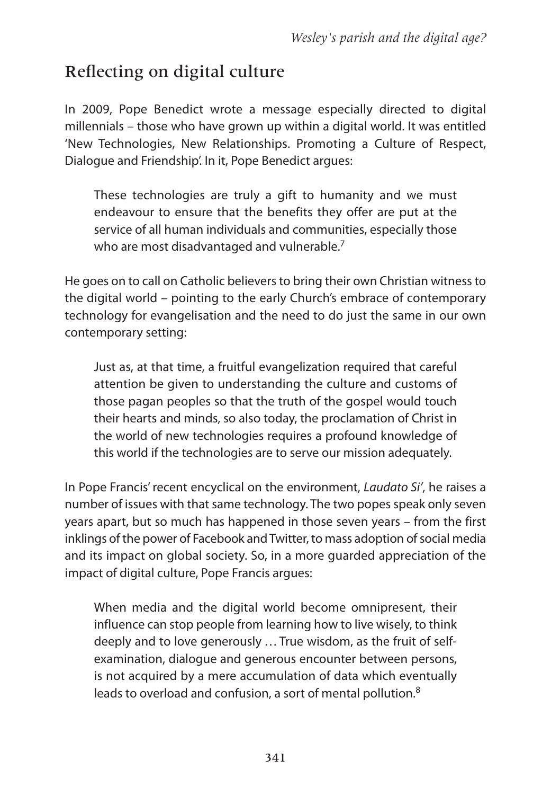# Reflecting on digital culture

In 2009, Pope Benedict wrote a message especially directed to digital millennials – those who have grown up within a digital world. It was entitled 'New Technologies, New Relationships. Promoting a Culture of Respect, Dialogue and Friendship'. In it, Pope Benedict argues:

These technologies are truly a gift to humanity and we must endeavour to ensure that the benefits they offer are put at the service of all human individuals and communities, especially those who are most disadvantaged and vulnerable.<sup>7</sup>

He goes on to call on Catholic believersto bring their own Christian witnessto the digital world – pointing to the early Church's embrace of contemporary technology for evangelisation and the need to do just the same in our own contemporary setting:

Just as, at that time, a fruitful evangelization required that careful attention be given to understanding the culture and customs of those pagan peoples so that the truth of the gospel would touch their hearts and minds, so also today, the proclamation of Christ in the world of new technologies requires a profound knowledge of this world if the technologies are to serve our mission adequately.

In Pope Francis' recent encyclical on the environment, Laudato Si', he raises a number of issues with that same technology. The two popes speak only seven years apart, but so much has happened in those seven years – from the first inklings of the power of Facebook and Twitter, to mass adoption of social media and its impact on global society. So, in a more guarded appreciation of the impact of digital culture, Pope Francis argues:

When media and the digital world become omnipresent, their influence can stop people from learning how to live wisely, to think deeply and to love generously ... True wisdom, as the fruit of selfexamination, dialogue and generous encounter between persons, is not acquired by a mere accumulation of data which eventually leads to overload and confusion, a sort of mental pollution.<sup>8</sup>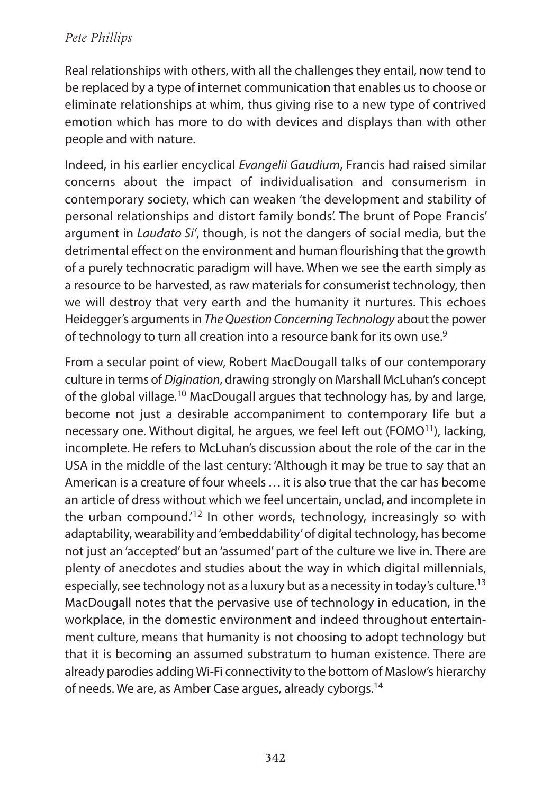Real relationships with others, with all the challenges they entail, now tend to be replaced by a type of internet communication that enables us to choose or eliminate relationships at whim, thus giving rise to a new type of contrived emotion which has more to do with devices and displays than with other people and with nature.

Indeed, in his earlier encyclical Evangelii Gaudium, Francis had raised similar concerns about the impact of individualisation and consumerism in contemporary society, which can weaken 'the development and stability of personal relationships and distort family bonds'. The brunt of Pope Francis' argument in Laudato Si', though, is not the dangers of social media, but the detrimental effect on the environment and human flourishing that the growth of a purely technocratic paradigm will have. When we see the earth simply as a resource to be harvested, as raw materials for consumerist technology, then we will destroy that very earth and the humanity it nurtures. This echoes Heidegger's arguments in The Question Concerning Technology about the power of technology to turn all creation into a resource bank for its own use. $^9$ 

From a secular point of view, Robert MacDougall talks of our contemporary culture in terms of Digination, drawing strongly on Marshall McLuhan's concept of the global village.<sup>10</sup> MacDougall argues that technology has, by and large, become not just a desirable accompaniment to contemporary life but a necessary one. Without digital, he argues, we feel left out (FOMO $11$ ), lacking, incomplete. He refers to McLuhan's discussion about the role of the car in the USa in the middle of the last century: 'although it may be true to say that an American is a creature of four wheels ... it is also true that the car has become an article of dress without which we feel uncertain, unclad, and incomplete in the urban compound.<sup>'12</sup> In other words, technology, increasingly so with adaptability, wearability and'embeddability'of digital technology, has become not just an 'accepted' but an 'assumed' part of the culture we live in. There are plenty of anecdotes and studies about the way in which digital millennials, especially, see technology not as a luxury but as a necessity in today's culture.<sup>13</sup> MacDougall notes that the pervasive use of technology in education, in the workplace, in the domestic environment and indeed throughout entertainment culture, means that humanity is not choosing to adopt technology but that it is becoming an assumed substratum to human existence. There are already parodies adding Wi-Fi connectivity to the bottom of Maslow's hierarchy of needs. We are, as Amber Case argues, already cyborgs.<sup>14</sup>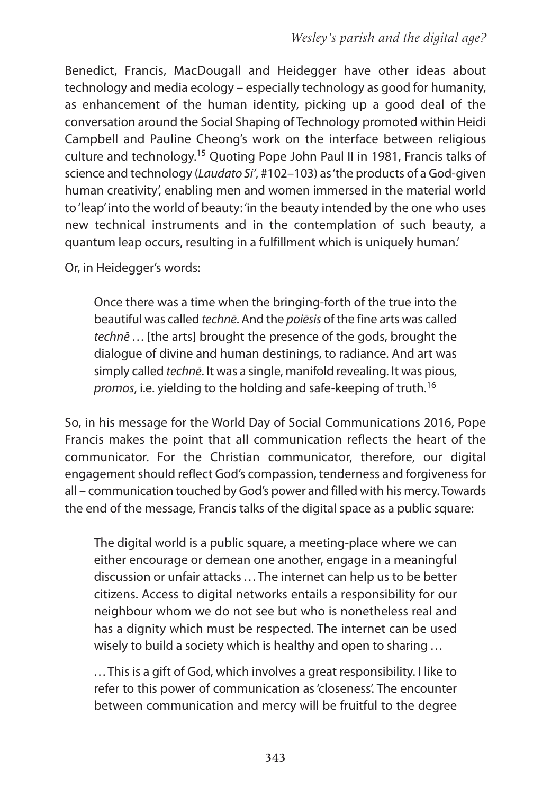Benedict, Francis, MacDougall and Heidegger have other ideas about technology and media ecology – especially technology as good for humanity, as enhancement of the human identity, picking up a good deal of the conversation around the Social Shaping of Technology promoted within Heidi Campbell and Pauline Cheong's work on the interface between religious culture and technology. <sup>15</sup> Quoting Pope John Paul II in 1981, Francis talks of science and technology (Laudato Si', #102–103) as'the products of a God-given human creativity', enabling men and women immersed in the material world to'leap'into the world of beauty: 'in the beauty intended by the one who uses new technical instruments and in the contemplation of such beauty, a quantum leap occurs, resulting in a fulfillment which is uniquely human.'

Or, in Heidegger's words:

Once there was a time when the bringing-forth of the true into the beautiful was called techne. And the poiesis of the fine arts was called technē ... [the arts] brought the presence of the gods, brought the dialogue of divine and human destinings, to radiance. And art was simply called technē. It was a single, manifold revealing. It was pious, promos, i.e. yielding to the holding and safe-keeping of truth.<sup>16</sup>

So, in his message for the World Day of Social Communications 2016, Pope Francis makes the point that all communication reflects the heart of the communicator. For the Christian communicator, therefore, our digital engagement should reflect God's compassion, tenderness and forgiveness for all – communication touched by God's power and filled with his mercy. Towards the end of the message, Francis talks of the digital space as a public square:

The digital world is a public square, a meeting-place where we can either encourage or demean one another, engage in a meaningful discussion or unfair attacks ... The internet can help us to be better citizens. access to digital networks entails a responsibility for our neighbour whom we do not see but who is nonetheless real and has a dignity which must be respected. The internet can be used wisely to build a society which is healthy and open to sharing ...

. . . This is a gift of God, which involves a great responsibility. I like to refer to this power of communication as'closeness'. The encounter between communication and mercy will be fruitful to the degree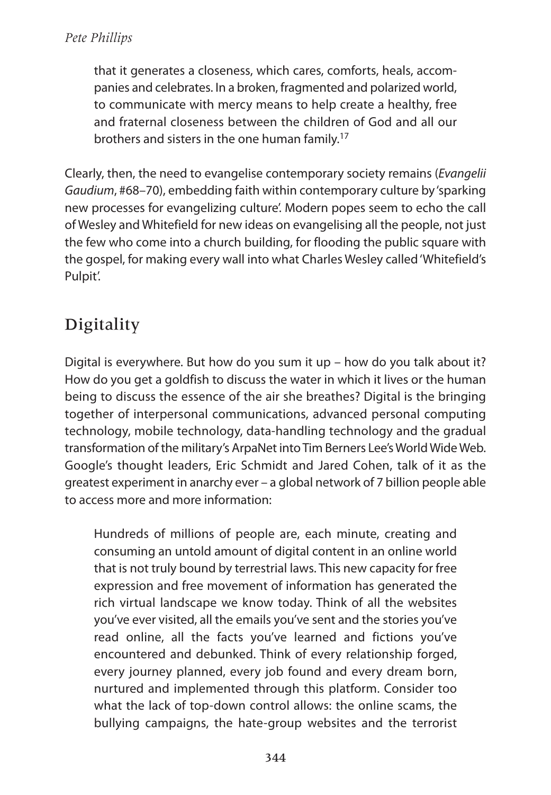that it generates a closeness, which cares, comforts, heals, accompanies and celebrates. In a broken, fragmented and polarized world, to communicate with mercy means to help create a healthy, free and fraternal closeness between the children of God and all our brothers and sisters in the one human family. 17

Clearly, then, the need to evangelise contemporary society remains (Evangelii Gaudium, #68–70), embedding faith within contemporary culture by'sparking new processes for evangelizing culture'. Modern popes seem to echo the call of Wesley and Whitefield for new ideas on evangelising all the people, not just the few who come into a church building, for flooding the public square with the gospel, for making every wall into what Charles Wesley called'Whitefield's Pulpit'.

# **Digitality**

Digital is everywhere. But how do you sum it up – how do you talk about it? How do you get a goldfish to discuss the water in which it lives or the human being to discuss the essence of the air she breathes? Digital is the bringing together of interpersonal communications, advanced personal computing technology, mobile technology, data-handling technology and the gradual transformation of the military's ArpaNet into Tim Berners Lee's World Wide Web. Google's thought leaders, Eric Schmidt and Jared Cohen, talk of it as the greatest experiment in anarchy ever – a global network of 7 billion people able to access more and more information:

Hundreds of millions of people are, each minute, creating and consuming an untold amount of digital content in an online world that is not truly bound by terrestrial laws. This new capacity for free expression and free movement of information has generated the rich virtual landscape we know today. Think of all the websites you've ever visited, all the emails you've sent and the stories you've read online, all the facts you've learned and fictions you've encountered and debunked. Think of every relationship forged, every journey planned, every job found and every dream born, nurtured and implemented through this platform. Consider too what the lack of top-down control allows: the online scams, the bullying campaigns, the hate-group websites and the terrorist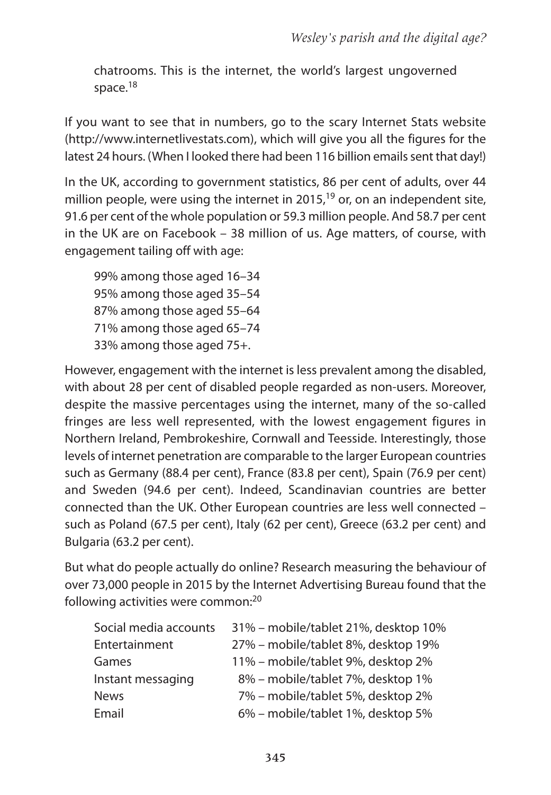chatrooms. This is the internet, the world's largest ungoverned space.<sup>18</sup>

If you want to see that in numbers, go to the scary Internet Stats website (http://www.internetlivestats.com), which will give you all the figures for the latest 24 hours. (When I looked there had been 116 billion emails sent that day!)

In the UK, according to government statistics, 86 per cent of adults, over 44 million people, were using the internet in 2015, <sup>19</sup> or, on an independent site, 91.6 per cent of the whole population or 59.3 million people. And 58.7 per cent in the UK are on Facebook – 38 million of us. Age matters, of course, with engagement tailing off with age:

99% among those aged 16–34 95% among those aged 35–54 87% among those aged 55–64 71% among those aged 65–74 33% among those aged 75+.

However, engagement with the internet is less prevalent among the disabled, with about 28 per cent of disabled people regarded as non-users. Moreover, despite the massive percentages using the internet, many of the so-called fringes are less well represented, with the lowest engagement figures in Northern Ireland, Pembrokeshire, Cornwall and Teesside. Interestingly, those levels of internet penetration are comparable to the larger European countries such as Germany (88.4 per cent), France (83.8 per cent), Spain (76.9 per cent) and Sweden (94.6 per cent). Indeed, Scandinavian countries are better connected than the UK. Other European countries are less well connected – such as Poland (67.5 per cent), Italy (62 per cent), Greece (63.2 per cent) and Bulgaria (63.2 per cent).

But what do people actually do online? Research measuring the behaviour of over 73,000 people in 2015 by the Internet advertising Bureau found that the following activities were common:<sup>20</sup>

| Social media accounts | 31% – mobile/tablet 21%, desktop 10% |
|-----------------------|--------------------------------------|
| Entertainment         | 27% - mobile/tablet 8%, desktop 19%  |
| Games                 | 11% – mobile/tablet 9%, desktop 2%   |
| Instant messaging     | 8% - mobile/tablet 7%, desktop 1%    |
| <b>News</b>           | 7% - mobile/tablet 5%, desktop 2%    |
| Email                 | 6% – mobile/tablet 1%, desktop 5%    |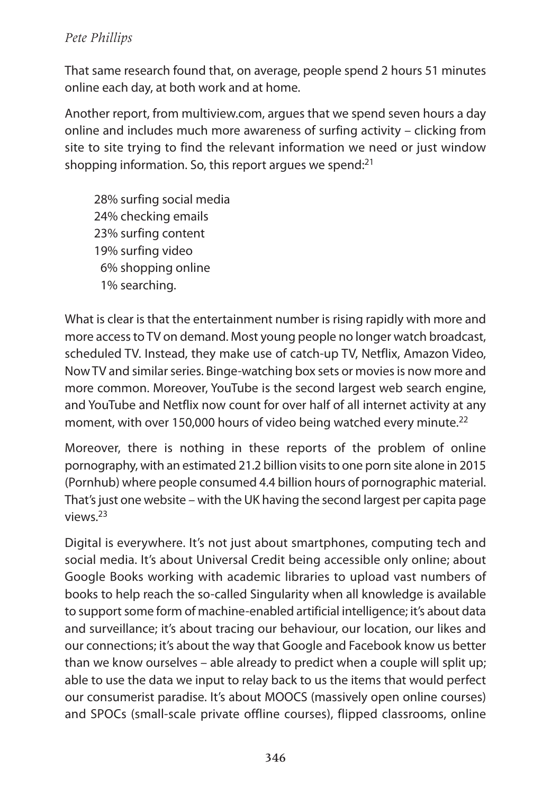That same research found that, on average, people spend 2 hours 51 minutes online each day, at both work and at home.

another report, from multiview.com, argues that we spend seven hours a day online and includes much more awareness of surfing activity – clicking from site to site trying to find the relevant information we need or just window shopping information. So, this report argues we spend:<sup>21</sup>

28% surfing social media 24% checking emails 23% surfing content 19% surfing video 6% shopping online 1% searching.

What is clear is that the entertainment number is rising rapidly with more and more accessto TV on demand. Most young people no longer watch broadcast, scheduled TV. Instead, they make use of catch-up TV, Netflix, Amazon Video, Now TV and similar series. Binge-watching box sets or movies is now more and more common. Moreover, YouTube is the second largest web search engine, and YouTube and Netflix now count for over half of all internet activity at any moment, with over 150,000 hours of video being watched every minute.<sup>22</sup>

Moreover, there is nothing in these reports of the problem of online pornography, with an estimated 21.2 billion visits to one porn site alone in 2015 (Pornhub) where people consumed 4.4 billion hours of pornographic material. That's just one website – with the UK having the second largest per capita page views. 23

Digital is everywhere. It's not just about smartphones, computing tech and social media. It's about Universal Credit being accessible only online; about Google Books working with academic libraries to upload vast numbers of books to help reach the so-called Singularity when all knowledge is available to support some form of machine-enabled artificial intelligence; it's about data and surveillance; it's about tracing our behaviour, our location, our likes and our connections; it's about the way that Google and Facebook know us better than we know ourselves – able already to predict when a couple will split up; able to use the data we input to relay back to us the items that would perfect our consumerist paradise. It's about MOOCS (massively open online courses) and SPOCs (small-scale private offline courses), flipped classrooms, online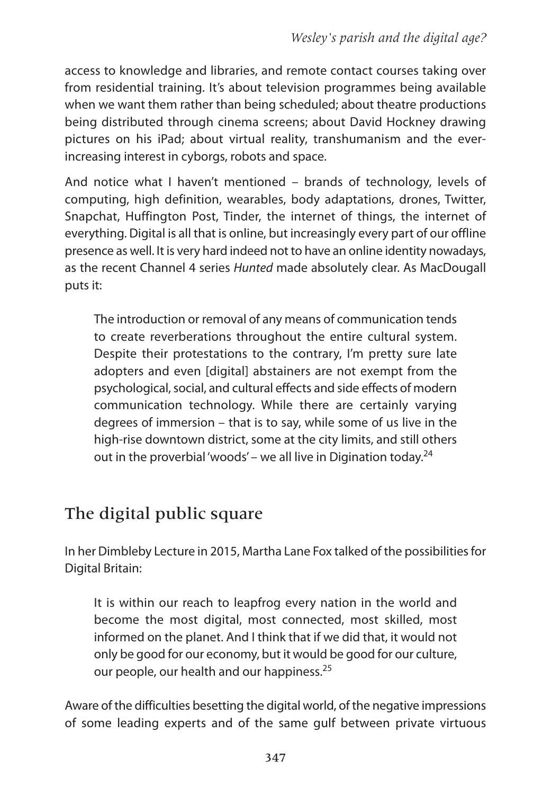access to knowledge and libraries, and remote contact courses taking over from residential training. It's about television programmes being available when we want them rather than being scheduled; about theatre productions being distributed through cinema screens; about David Hockney drawing pictures on his iPad; about virtual reality, transhumanism and the everincreasing interest in cyborgs, robots and space.

and notice what I haven't mentioned – brands of technology, levels of computing, high definition, wearables, body adaptations, drones, Twitter, Snapchat, Huffington Post, Tinder, the internet of things, the internet of everything. Digital is all that is online, but increasingly every part of our offline presence as well. It is very hard indeed not to have an online identity nowadays, as the recent Channel 4 series Hunted made absolutely clear. As MacDougall puts it:

The introduction or removal of any means of communication tends to create reverberations throughout the entire cultural system. Despite their protestations to the contrary, I'm pretty sure late adopters and even [digital] abstainers are not exempt from the psychological, social, and cultural effects and side effects of modern communication technology. While there are certainly varying degrees of immersion – that is to say, while some of us live in the high-rise downtown district, some at the city limits, and still others out in the proverbial 'woods' – we all live in Digination today.<sup>24</sup>

# The digital public square

In her Dimbleby Lecture in 2015, Martha Lane Fox talked of the possibilitiesfor Digital Britain:

It is within our reach to leapfrog every nation in the world and become the most digital, most connected, most skilled, most informed on the planet. And I think that if we did that, it would not only be good for our economy, but it would be good for our culture, our people, our health and our happiness.<sup>25</sup>

aware of the difficulties besetting the digital world, of the negative impressions of some leading experts and of the same gulf between private virtuous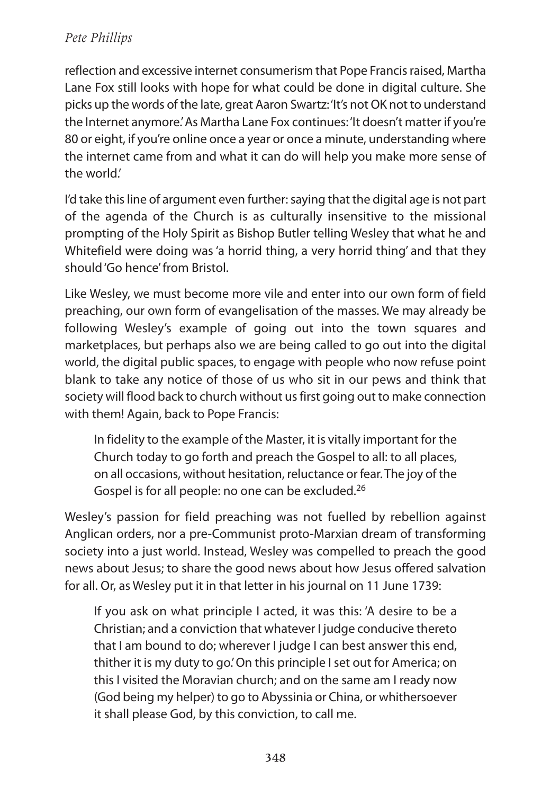reflection and excessive internet consumerism that Pope Francisraised, Martha Lane Fox still looks with hope for what could be done in digital culture. She picks up the words of the late, great Aaron Swartz: 'It's not OK not to understand the Internet anymore.' As Martha Lane Fox continues: 'It doesn't matter if you're 80 or eight, if you're online once a year or once a minute, understanding where the internet came from and what it can do will help you make more sense of the world.'

I'd take this line of argument even further: saying that the digital age is not part of the agenda of the Church is as culturally insensitive to the missional prompting of the Holy Spirit as Bishop Butler telling Wesley that what he and Whitefield were doing was'a horrid thing, a very horrid thing' and that they should'Go hence'from Bristol.

Like Wesley, we must become more vile and enter into our own form of field preaching, our own form of evangelisation of the masses. We may already be following Wesley's example of going out into the town squares and marketplaces, but perhaps also we are being called to go out into the digital world, the digital public spaces, to engage with people who now refuse point blank to take any notice of those of us who sit in our pews and think that society will flood back to church without usfirst going out to make connection with them! Again, back to Pope Francis:

In fidelity to the example of the Master, it is vitally important for the Church today to go forth and preach the Gospel to all: to all places, on all occasions, without hesitation, reluctance or fear. The joy of the Gospel is for all people: no one can be excluded.<sup>26</sup>

Wesley's passion for field preaching was not fuelled by rebellion against anglican orders, nor a pre-Communist proto-Marxian dream of transforming society into a just world. Instead, Wesley was compelled to preach the good news about Jesus; to share the good news about how Jesus offered salvation for all. Or, as Wesley put it in that letter in his journal on 11 June 1739:

If you ask on what principle I acted, it was this: 'A desire to be a Christian; and a conviction that whatever I judge conducive thereto that I am bound to do; wherever I judge I can best answer this end, thither it is my duty to go.' On this principle I set out for America; on this I visited the Moravian church; and on the same am I ready now (God being my helper) to go to Abyssinia or China, or whithersoever it shall please God, by this conviction, to call me.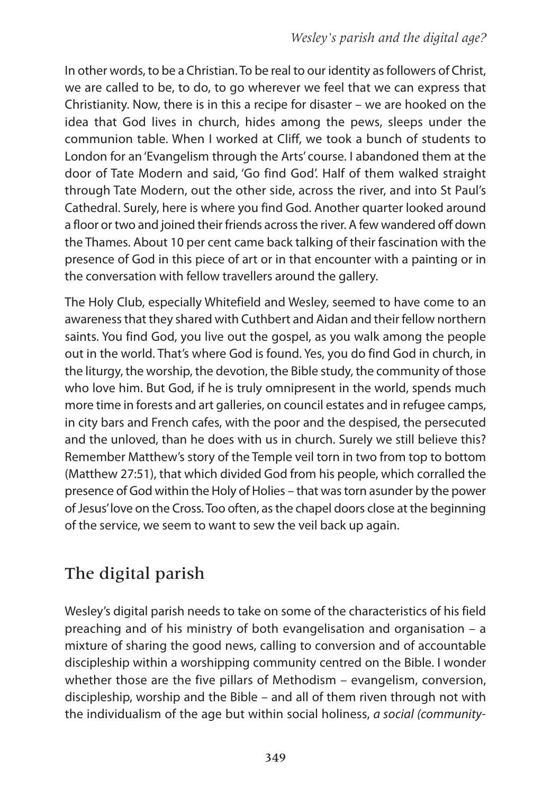In other words, to be a Christian. To be real to our identity asfollowers of Christ, we are called to be, to do, to go wherever we feel that we can express that Christianity. Now, there is in this a recipe for disaster – we are hooked on the idea that God lives in church, hides among the pews, sleeps under the communion table. When I worked at Cliff, we took a bunch of students to London for an 'Evangelism through the arts' course. I abandoned them at the door of Tate Modern and said, 'Go find God'. Half of them walked straight through Tate Modern, out the other side, across the river, and into St Paul's Cathedral. Surely, here is where you find God. Another quarter looked around a floor or two and joined their friends across the river. A few wandered off down the Thames. about 10 per cent came back talking of their fascination with the presence of God in this piece of art or in that encounter with a painting or in the conversation with fellow travellers around the gallery.

The Holy Club, especially Whitefield and Wesley, seemed to have come to an awareness that they shared with Cuthbert and Aidan and their fellow northern saints. You find God, you live out the gospel, as you walk among the people out in the world. That's where God is found. Yes, you do find God in church, in the liturgy, the worship, the devotion, the Bible study, the community of those who love him. But God, if he is truly omnipresent in the world, spends much more time in forests and art galleries, on council estates and in refugee camps, in city bars and French cafes, with the poor and the despised, the persecuted and the unloved, than he does with us in church. Surely we still believe this? Remember Matthew's story of the Temple veil torn in two from top to bottom (Matthew 27:51), that which divided God from his people, which corralled the presence of God within the Holy of Holies – that wastorn asunder by the power of Jesus' love on the Cross. Too often, as the chapel doors close at the beginning of the service, we seem to want to sew the veil back up again.

# The digital parish

Wesley's digital parish needs to take on some of the characteristics of his field preaching and of his ministry of both evangelisation and organisation – a mixture of sharing the good news, calling to conversion and of accountable discipleship within a worshipping community centred on the Bible. I wonder whether those are the five pillars of Methodism – evangelism, conversion, discipleship, worship and the Bible – and all of them riven through not with the individualism of the age but within social holiness, a social (community-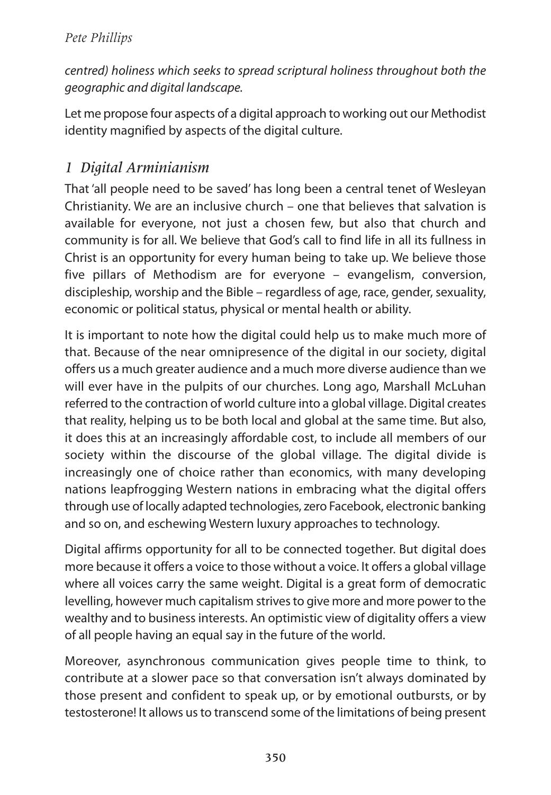centred) holiness which seeks to spread scriptural holiness throughout both the geographic and digital landscape.

Let me propose four aspects of a digital approach to working out our Methodist identity magnified by aspects of the digital culture.

### *1 Digital Arminianism*

That 'all people need to be saved' has long been a central tenet of Wesleyan Christianity. We are an inclusive church – one that believes that salvation is available for everyone, not just a chosen few, but also that church and community is for all. We believe that God's call to find life in all its fullness in Christ is an opportunity for every human being to take up. We believe those five pillars of Methodism are for everyone – evangelism, conversion, discipleship, worship and the Bible – regardless of age, race, gender, sexuality, economic or political status, physical or mental health or ability.

It is important to note how the digital could help us to make much more of that. Because of the near omnipresence of the digital in our society, digital offers us a much greater audience and a much more diverse audience than we will ever have in the pulpits of our churches. Long ago, Marshall McLuhan referred to the contraction of world culture into a global village. Digital creates that reality, helping us to be both local and global at the same time. But also, it does this at an increasingly affordable cost, to include all members of our society within the discourse of the global village. The digital divide is increasingly one of choice rather than economics, with many developing nations leapfrogging Western nations in embracing what the digital offers through use of locally adapted technologies, zero Facebook, electronic banking and so on, and eschewing Western luxury approaches to technology.

Digital affirms opportunity for all to be connected together. But digital does more because it offers a voice to those without a voice. It offers a global village where all voices carry the same weight. Digital is a great form of democratic levelling, however much capitalism strives to give more and more power to the wealthy and to business interests. An optimistic view of digitality offers a view of all people having an equal say in the future of the world.

Moreover, asynchronous communication gives people time to think, to contribute at a slower pace so that conversation isn't always dominated by those present and confident to speak up, or by emotional outbursts, or by testosterone! It allows usto transcend some of the limitations of being present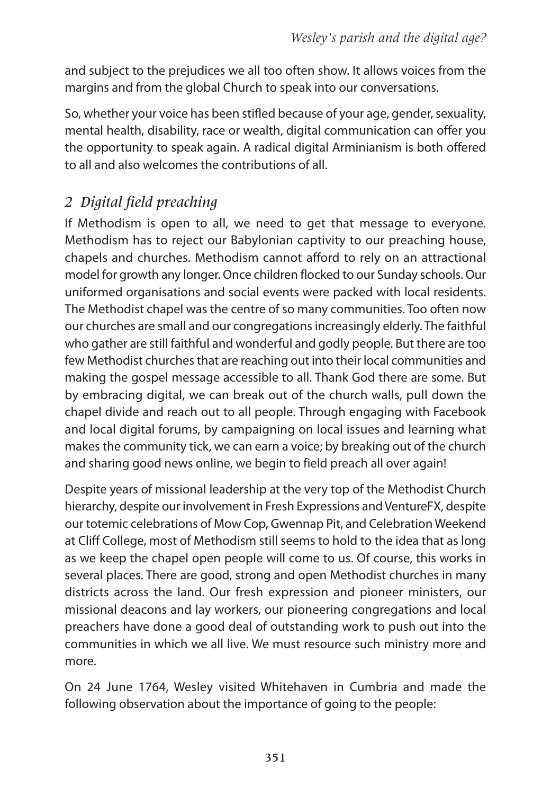and subject to the prejudices we all too often show. It allows voices from the margins and from the global Church to speak into our conversations.

So, whether your voice has been stifled because of your age, gender, sexuality, mental health, disability, race or wealth, digital communication can offer you the opportunity to speak again. A radical digital Arminianism is both offered to all and also welcomes the contributions of all.

# *2 Digital field preaching*

If Methodism is open to all, we need to get that message to everyone. Methodism has to reject our Babylonian captivity to our preaching house, chapels and churches. Methodism cannot afford to rely on an attractional model for growth any longer. Once children flocked to our Sunday schools. Our uniformed organisations and social events were packed with local residents. The Methodist chapel was the centre of so many communities. Too often now our churches are small and our congregationsincreasingly elderly. The faithful who gather are still faithful and wonderful and godly people. But there are too few Methodist churches that are reaching out into their local communities and making the gospel message accessible to all. Thank God there are some. But by embracing digital, we can break out of the church walls, pull down the chapel divide and reach out to all people. Through engaging with Facebook and local digital forums, by campaigning on local issues and learning what makes the community tick, we can earn a voice; by breaking out of the church and sharing good news online, we begin to field preach all over again!

Despite years of missional leadership at the very top of the Methodist Church hierarchy, despite our involvement in Fresh Expressions and VentureFX, despite our totemic celebrations of Mow Cop, Gwennap Pit, and Celebration Weekend at Cliff College, most of Methodism still seems to hold to the idea that as long as we keep the chapel open people will come to us. Of course, this works in several places. There are good, strong and open Methodist churches in many districts across the land. Our fresh expression and pioneer ministers, our missional deacons and lay workers, our pioneering congregations and local preachers have done a good deal of outstanding work to push out into the communities in which we all live. We must resource such ministry more and more.

On 24 June 1764, Wesley visited Whitehaven in Cumbria and made the following observation about the importance of going to the people: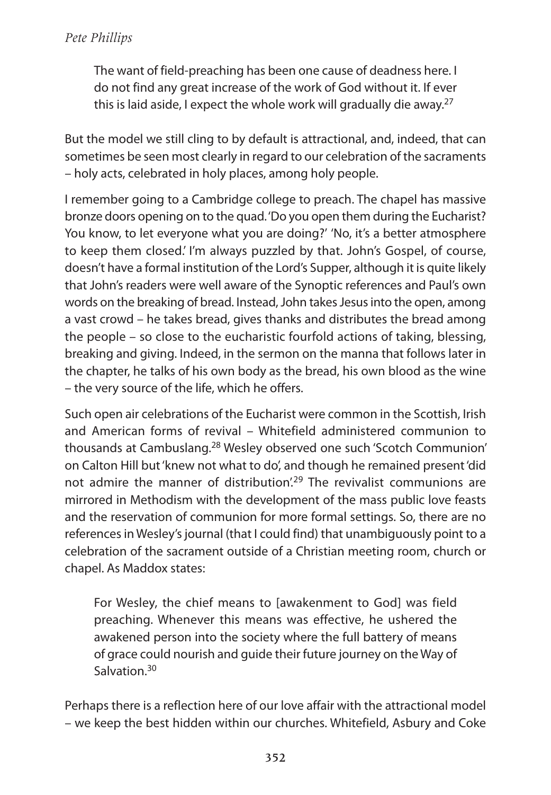The want of field-preaching has been one cause of deadness here. I do not find any great increase of the work of God without it. If ever this is laid aside, I expect the whole work will gradually die away. 27

But the model we still cling to by default is attractional, and, indeed, that can sometimes be seen most clearly in regard to our celebration of the sacraments – holy acts, celebrated in holy places, among holy people.

I remember going to a Cambridge college to preach. The chapel has massive bronze doors opening on to the quad.'Do you open them during the Eucharist? You know, to let everyone what you are doing?' 'No, it's a better atmosphere to keep them closed.' I'm always puzzled by that. John's Gospel, of course, doesn't have a formal institution of the Lord's Supper, although it is quite likely that John's readers were well aware of the Synoptic references and Paul's own words on the breaking of bread. Instead, John takes Jesus into the open, among a vast crowd – he takes bread, gives thanks and distributes the bread among the people – so close to the eucharistic fourfold actions of taking, blessing, breaking and giving. Indeed, in the sermon on the manna that follows later in the chapter, he talks of his own body as the bread, his own blood as the wine – the very source of the life, which he offers.

Such open air celebrations of the Eucharist were common in the Scottish, Irish and american forms of revival – Whitefield administered communion to thousands at Cambuslang. <sup>28</sup> Wesley observed one such 'Scotch Communion' on Calton Hill but'knew not what to do', and though he remained present'did not admire the manner of distribution<sup>', 29</sup> The revivalist communions are mirrored in Methodism with the development of the mass public love feasts and the reservation of communion for more formal settings. So, there are no references in Wesley's journal (that I could find) that unambiguously point to a celebration of the sacrament outside of a Christian meeting room, church or chapel. As Maddox states:

For Wesley, the chief means to [awakenment to God] was field preaching. Whenever this means was effective, he ushered the awakened person into the society where the full battery of means of grace could nourish and guide their future journey on the Way of Salvation.<sup>30</sup>

Perhaps there is a reflection here of our love affair with the attractional model – we keep the best hidden within our churches. Whitefield, asbury and Coke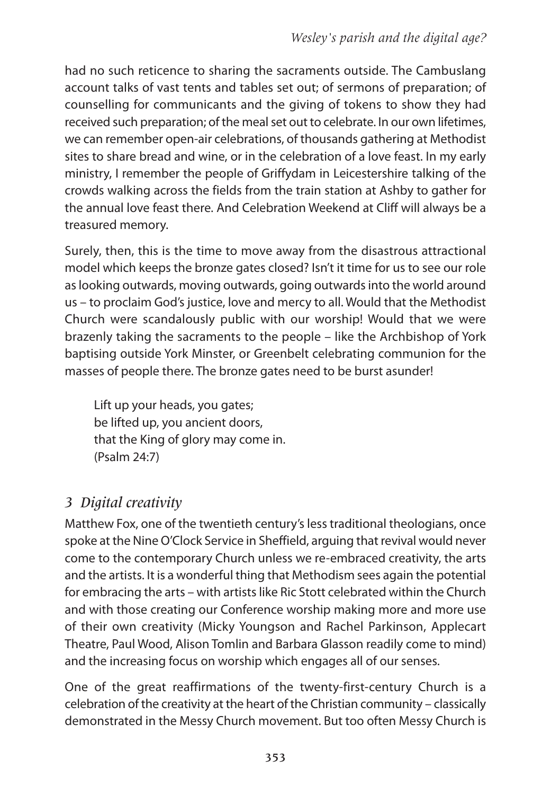had no such reticence to sharing the sacraments outside. The Cambuslang account talks of vast tents and tables set out; of sermons of preparation; of counselling for communicants and the giving of tokens to show they had received such preparation; of the meal set out to celebrate. In our own lifetimes, we can remember open-air celebrations, of thousands gathering at Methodist sites to share bread and wine, or in the celebration of a love feast. In my early ministry, I remember the people of Griffydam in Leicestershire talking of the crowds walking across the fields from the train station at ashby to gather for the annual love feast there. And Celebration Weekend at Cliff will always be a treasured memory.

Surely, then, this is the time to move away from the disastrous attractional model which keeps the bronze gates closed? Isn't it time for us to see our role aslooking outwards, moving outwards, going outwardsinto the world around us – to proclaim God's justice, love and mercy to all. Would that the Methodist Church were scandalously public with our worship! Would that we were brazenly taking the sacraments to the people – like the archbishop of York baptising outside York Minster, or Greenbelt celebrating communion for the masses of people there. The bronze gates need to be burst asunder!

Lift up your heads, you gates; be lifted up, you ancient doors, that the King of glory may come in. (Psalm 24:7)

# *3 Digital creativity*

Matthew Fox, one of the twentieth century'slesstraditional theologians, once spoke at the Nine O'Clock Service in Sheffield, arguing that revival would never come to the contemporary Church unless we re-embraced creativity, the arts and the artists. It is a wonderful thing that Methodism sees again the potential for embracing the arts – with artists like Ric Stott celebrated within the Church and with those creating our Conference worship making more and more use of their own creativity (Micky Youngson and Rachel Parkinson, applecart Theatre, Paul Wood, Alison Tomlin and Barbara Glasson readily come to mind) and the increasing focus on worship which engages all of our senses.

One of the great reaffirmations of the twenty-first-century Church is a celebration of the creativity at the heart of the Christian community – classically demonstrated in the Messy Church movement. But too often Messy Church is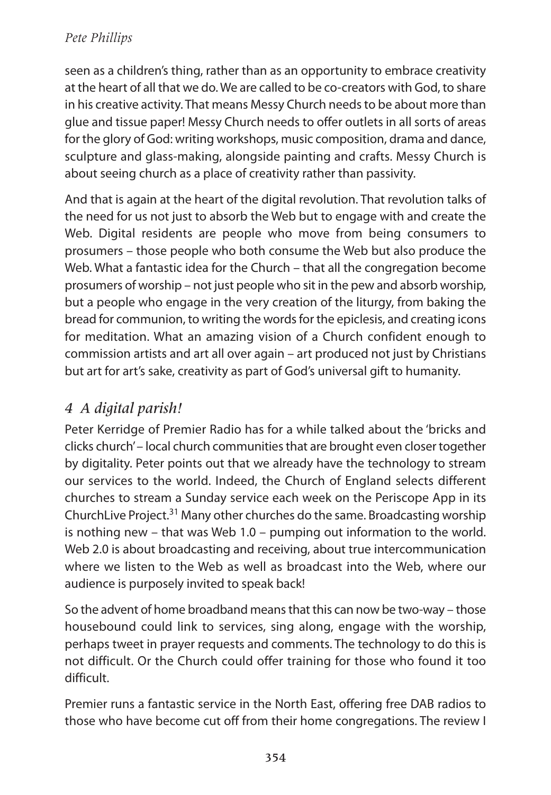seen as a children's thing, rather than as an opportunity to embrace creativity at the heart of all that we do. We are called to be co-creators with God, to share in his creative activity. That means Messy Church needs to be about more than glue and tissue paper! Messy Church needs to offer outlets in all sorts of areas for the glory of God: writing workshops, music composition, drama and dance, sculpture and glass-making, alongside painting and crafts. Messy Church is about seeing church as a place of creativity rather than passivity.

and that is again at the heart of the digital revolution. That revolution talks of the need for us not just to absorb the Web but to engage with and create the Web. Digital residents are people who move from being consumers to prosumers – those people who both consume the Web but also produce the Web. What a fantastic idea for the Church – that all the congregation become prosumers of worship – not just people who sit in the pew and absorb worship, but a people who engage in the very creation of the liturgy, from baking the bread for communion, to writing the words for the epiclesis, and creating icons for meditation. What an amazing vision of a Church confident enough to commission artists and art all over again – art produced not just by Christians but art for art's sake, creativity as part of God's universal gift to humanity.

# *4 A digital parish!*

Peter Kerridge of Premier Radio has for a while talked about the 'bricks and clicks church'- local church communities that are brought even closer together by digitality. Peter points out that we already have the technology to stream our services to the world. Indeed, the Church of England selects different churches to stream a Sunday service each week on the Periscope app in its ChurchLive Project.<sup>31</sup> Many other churches do the same. Broadcasting worship is nothing new – that was Web 1.0 – pumping out information to the world. Web 2.0 is about broadcasting and receiving, about true intercommunication where we listen to the Web as well as broadcast into the Web, where our audience is purposely invited to speak back!

So the advent of home broadband meansthat this can now be two-way – those housebound could link to services, sing along, engage with the worship, perhaps tweet in prayer requests and comments. The technology to do this is not difficult. Or the Church could offer training for those who found it too difficult.

Premier runs a fantastic service in the North East, offering free DaB radios to those who have become cut off from their home congregations. The review I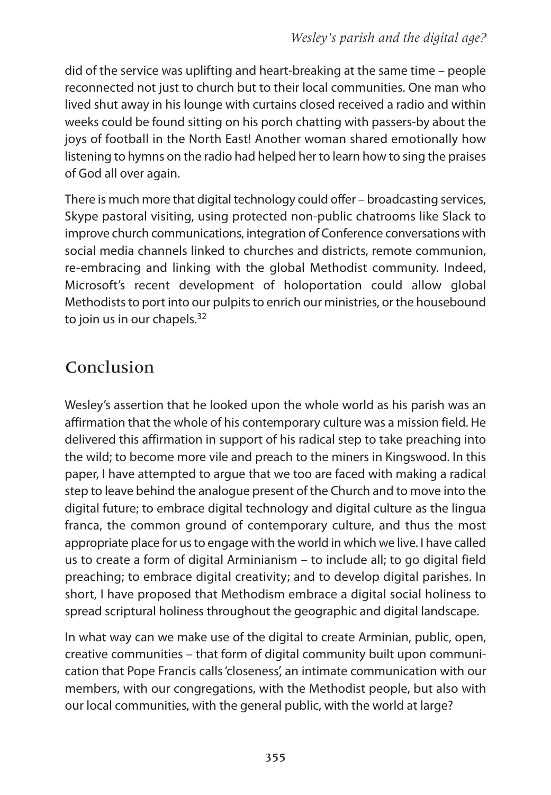did of the service was uplifting and heart-breaking at the same time – people reconnected not just to church but to their local communities. One man who lived shut away in his lounge with curtains closed received a radio and within weeks could be found sitting on his porch chatting with passers-by about the joys of football in the North East! Another woman shared emotionally how listening to hymns on the radio had helped her to learn how to sing the praises of God all over again.

There is much more that digital technology could offer – broadcasting services, Skype pastoral visiting, using protected non-public chatrooms like Slack to improve church communications, integration of Conference conversations with social media channels linked to churches and districts, remote communion, re-embracing and linking with the global Methodist community. Indeed, Microsoft's recent development of holoportation could allow global Methodists to port into our pulpits to enrich our ministries, or the housebound to join us in our chapels.<sup>32</sup>

# Conclusion

Wesley's assertion that he looked upon the whole world as his parish was an affirmation that the whole of his contemporary culture was a mission field. He delivered this affirmation in support of his radical step to take preaching into the wild; to become more vile and preach to the miners in Kingswood. In this paper, I have attempted to argue that we too are faced with making a radical step to leave behind the analogue present of the Church and to move into the digital future; to embrace digital technology and digital culture as the lingua franca, the common ground of contemporary culture, and thus the most appropriate place for us to engage with the world in which we live. I have called us to create a form of digital Arminianism - to include all; to go digital field preaching; to embrace digital creativity; and to develop digital parishes. In short, I have proposed that Methodism embrace a digital social holiness to spread scriptural holiness throughout the geographic and digital landscape.

In what way can we make use of the digital to create arminian, public, open, creative communities – that form of digital community built upon communication that Pope Francis calls'closeness', an intimate communication with our members, with our congregations, with the Methodist people, but also with our local communities, with the general public, with the world at large?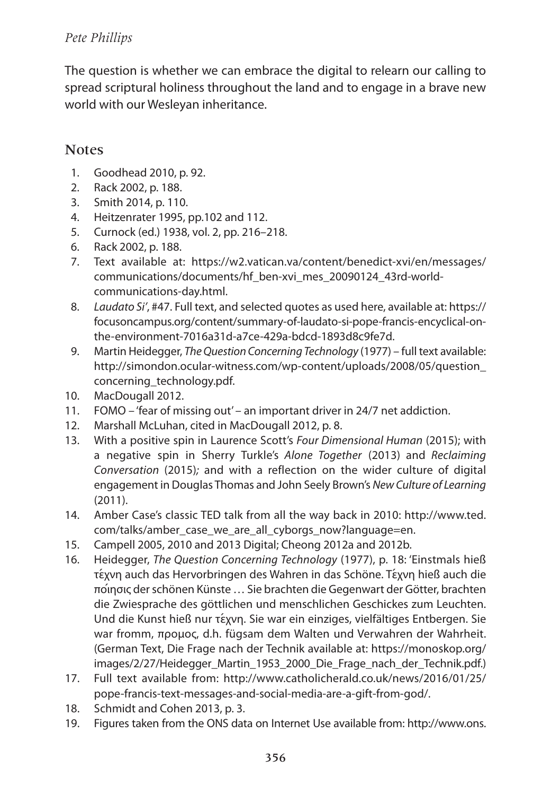The question is whether we can embrace the digital to relearn our calling to spread scriptural holiness throughout the land and to engage in a brave new world with our Wesleyan inheritance.

### **Notes**

- 1. Goodhead 2010, p. 92.
- 2. Rack 2002, p. 188.
- 3. Smith 2014, p. 110.
- 4. Heitzenrater 1995, pp.102 and 112.
- 5. Curnock (ed.) 1938, vol. 2, pp. 216–218.
- 6. Rack 2002, p. 188.
- 7. Text available at: https://w2.vatican.va/content/benedict-xvi/en/messages/ communications/documents/hf\_ben-xvi\_mes\_20090124\_43rd-worldcommunications-day.html.
- 8. Laudato Si', #47. Full text, and selected quotes as used here, available at: https:// focusoncampus.org/content/summary-of-laudato-si-pope-francis-encyclical-onthe-environment-7016a31d-a7ce-429a-bdcd-1893d8c9fe7d.
- 9. Martin Heidegger, The Question Concerning Technology (1977) full text available: http://simondon.ocular-witness.com/wp-content/uploads/2008/05/question\_ concerning\_technology.pdf.
- 10. MacDougall 2012.
- 11. FOMO 'fear of missing out' an important driver in 24/7 net addiction.
- 12. Marshall McLuhan, cited in MacDougall 2012, p. 8.
- 13. With a positive spin in Laurence Scott's Four Dimensional Human (2015); with a negative spin in Sherry Turkle's Alone Together (2013) and Reclaiming Conversation (2015); and with a reflection on the wider culture of digital engagement in Douglas Thomas and John Seely Brown's New Culture of Learning (2011).
- 14. amber Case's classic TED talk from all the way back in 2010: http://www.ted. com/talks/amber case we are all cyborgs now?language=en.
- 15. Campell 2005, 2010 and 2013 Digital; Cheong 2012a and 2012b.
- 16. Heidegger, The Question Concerning Technology (1977), p. 18: 'Einstmals hieß τέχνη auch das Hervorbringen des Wahren in das Schöne. Tέχνη hieß auch die ποιή σις derschönen Künste … Sie brachten die Gegenwart der Götter, brachten die Zwiesprache des göttlichen und menschlichen Geschickes zum Leuchten. Und die Kunst hieß nur τέχνη. Sie war ein einziges, vielfältiges Entbergen. Sie war fromm, προμος, d.h. fügsam dem Walten und Verwahren der Wahrheit. (German Text, Die Frage nach der Technik available at: https://monoskop.org/ images/2/27/Heidegger\_Martin\_1953\_2000\_Die\_Frage\_nach\_der\_Technik.pdf.)
- 17. Full text available from: http://www.catholicherald.co.uk/news/2016/01/25/ pope-francis-text-messages-and-social-media-are-a-gift-from-god/.
- 18. Schmidt and Cohen 2013, p. 3.
- 19. Figures taken from the ONS data on Internet Use available from: http://www.ons.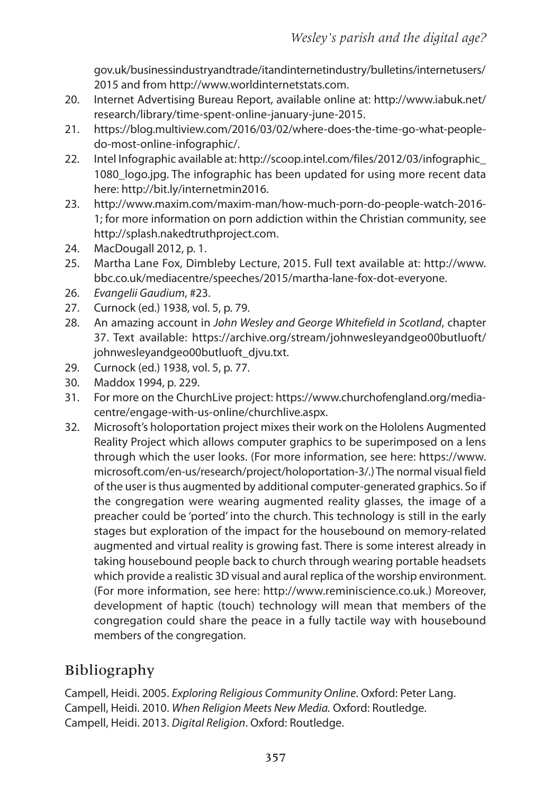gov.uk/businessindustryandtrade/itandinternetindustry/bulletins/internetusers/ 2015 and from http://www.worldinternetstats.com.

- 20. Internet advertising Bureau Report, available online at: http://www.iabuk.net/ research/library/time-spent-online-january-june-2015.
- 21. https://blog.multiview.com/2016/03/02/where-does-the-time-go-what-peopledo-most-online-infographic/.
- 22. Intel Infographic available at: http://scoop.intel.com/files/2012/03/infographic\_ 1080\_logo.jpg. The infographic has been updated for using more recent data here: http://bit.ly/internetmin2016.
- 23. http://www.maxim.com/maxim-man/how-much-porn-do-people-watch-2016- 1; for more information on porn addiction within the Christian community, see http://splash.nakedtruthproject.com.
- 24. MacDougall 2012, p. 1.
- 25. Martha Lane Fox, Dimbleby Lecture, 2015. Full text available at: http://www. bbc.co.uk/mediacentre/speeches/2015/martha-lane-fox-dot-everyone.
- 26. Evangelii Gaudium, #23.
- 27. Curnock (ed.) 1938, vol. 5, p. 79.
- 28. An amazing account in John Wesley and George Whitefield in Scotland, chapter 37. Text available: https://archive.org/stream/johnwesleyandgeo00butluoft/ johnwesleyandgeo00butluoft\_djvu.txt.
- 29. Curnock (ed.) 1938, vol. 5, p. 77.
- 30. Maddox 1994, p. 229.
- 31. For more on the ChurchLive project: https://www.churchofengland.org/mediacentre/engage-with-us-online/churchlive.aspx.
- 32. Microsoft's holoportation project mixes their work on the Hololens augmented Reality Project which allows computer graphics to be superimposed on a lens through which the user looks. (For more information, see here: https://www. microsoft.com/en-us/research/project/holoportation-3/.) The normal visual field of the user isthus augmented by additional computer-generated graphics. So if the congregation were wearing augmented reality glasses, the image of a preacher could be 'ported' into the church. This technology is still in the early stages but exploration of the impact for the housebound on memory-related augmented and virtual reality is growing fast. There is some interest already in taking housebound people back to church through wearing portable headsets which provide a realistic 3D visual and aural replica of the worship environment. (For more information, see here: http://www.reminiscience.co.uk.) Moreover, development of haptic (touch) technology will mean that members of the congregation could share the peace in a fully tactile way with housebound members of the congregation.

# Bibliography

Campell, Heidi. 2005. Exploring Religious Community Online. Oxford: Peter Lang. Campell, Heidi. 2010. When Religion Meets New Media. Oxford: Routledge. Campell, Heidi. 2013. Digital Religion. Oxford: Routledge.